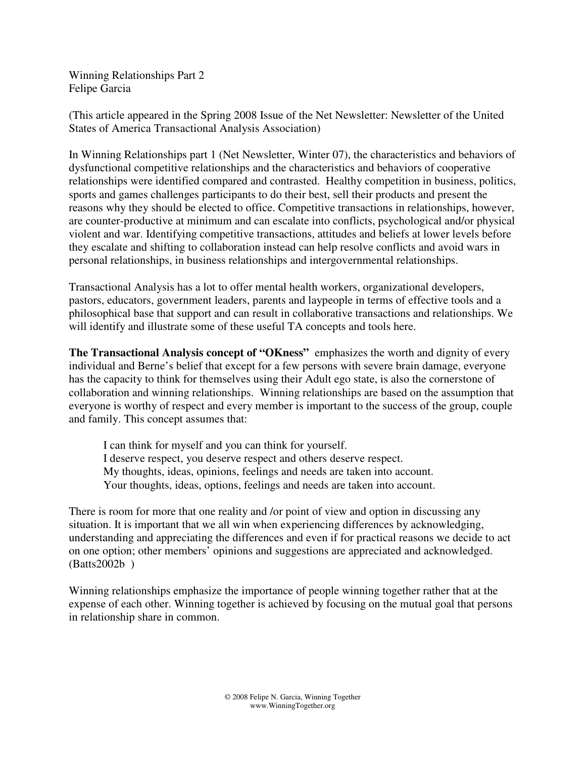Winning Relationships Part 2 Felipe Garcia

(This article appeared in the Spring 2008 Issue of the Net Newsletter: Newsletter of the United States of America Transactional Analysis Association)

In Winning Relationships part 1 (Net Newsletter, Winter 07), the characteristics and behaviors of dysfunctional competitive relationships and the characteristics and behaviors of cooperative relationships were identified compared and contrasted. Healthy competition in business, politics, sports and games challenges participants to do their best, sell their products and present the reasons why they should be elected to office. Competitive transactions in relationships, however, are counter-productive at minimum and can escalate into conflicts, psychological and/or physical violent and war. Identifying competitive transactions, attitudes and beliefs at lower levels before they escalate and shifting to collaboration instead can help resolve conflicts and avoid wars in personal relationships, in business relationships and intergovernmental relationships.

Transactional Analysis has a lot to offer mental health workers, organizational developers, pastors, educators, government leaders, parents and laypeople in terms of effective tools and a philosophical base that support and can result in collaborative transactions and relationships. We will identify and illustrate some of these useful TA concepts and tools here.

**The Transactional Analysis concept of "OKness"** emphasizes the worth and dignity of every individual and Berne's belief that except for a few persons with severe brain damage, everyone has the capacity to think for themselves using their Adult ego state, is also the cornerstone of collaboration and winning relationships. Winning relationships are based on the assumption that everyone is worthy of respect and every member is important to the success of the group, couple and family. This concept assumes that:

I can think for myself and you can think for yourself. I deserve respect, you deserve respect and others deserve respect. My thoughts, ideas, opinions, feelings and needs are taken into account. Your thoughts, ideas, options, feelings and needs are taken into account.

There is room for more that one reality and /or point of view and option in discussing any situation. It is important that we all win when experiencing differences by acknowledging, understanding and appreciating the differences and even if for practical reasons we decide to act on one option; other members' opinions and suggestions are appreciated and acknowledged. (Batts2002b )

Winning relationships emphasize the importance of people winning together rather that at the expense of each other. Winning together is achieved by focusing on the mutual goal that persons in relationship share in common.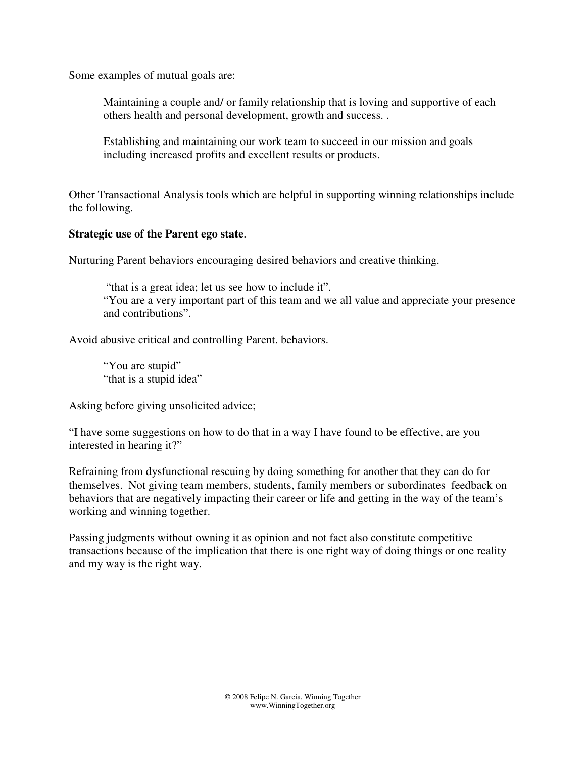Some examples of mutual goals are:

Maintaining a couple and/ or family relationship that is loving and supportive of each others health and personal development, growth and success. .

Establishing and maintaining our work team to succeed in our mission and goals including increased profits and excellent results or products.

Other Transactional Analysis tools which are helpful in supporting winning relationships include the following.

### **Strategic use of the Parent ego state**.

Nurturing Parent behaviors encouraging desired behaviors and creative thinking.

 "that is a great idea; let us see how to include it". "You are a very important part of this team and we all value and appreciate your presence and contributions".

Avoid abusive critical and controlling Parent. behaviors.

"You are stupid" "that is a stupid idea"

Asking before giving unsolicited advice;

"I have some suggestions on how to do that in a way I have found to be effective, are you interested in hearing it?"

Refraining from dysfunctional rescuing by doing something for another that they can do for themselves. Not giving team members, students, family members or subordinates feedback on behaviors that are negatively impacting their career or life and getting in the way of the team's working and winning together.

Passing judgments without owning it as opinion and not fact also constitute competitive transactions because of the implication that there is one right way of doing things or one reality and my way is the right way.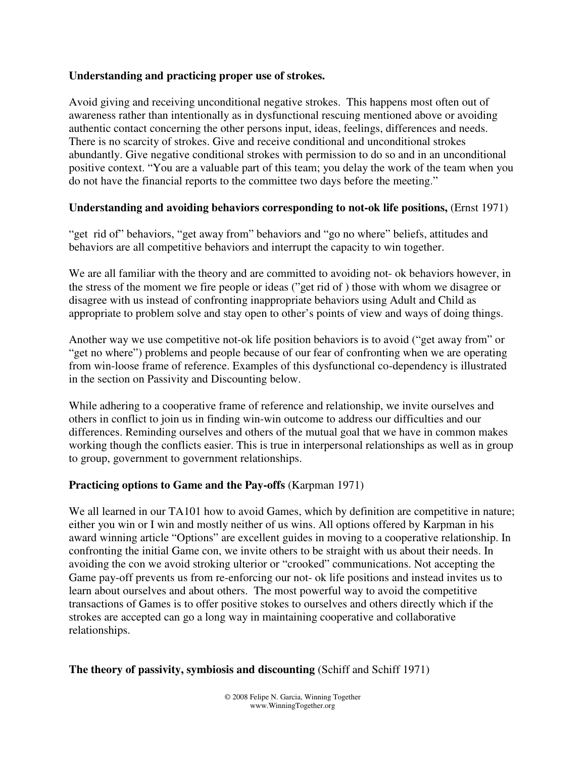### **Understanding and practicing proper use of strokes.**

Avoid giving and receiving unconditional negative strokes. This happens most often out of awareness rather than intentionally as in dysfunctional rescuing mentioned above or avoiding authentic contact concerning the other persons input, ideas, feelings, differences and needs. There is no scarcity of strokes. Give and receive conditional and unconditional strokes abundantly. Give negative conditional strokes with permission to do so and in an unconditional positive context. "You are a valuable part of this team; you delay the work of the team when you do not have the financial reports to the committee two days before the meeting."

## **Understanding and avoiding behaviors corresponding to not-ok life positions,** (Ernst 1971)

"get rid of" behaviors, "get away from" behaviors and "go no where" beliefs, attitudes and behaviors are all competitive behaviors and interrupt the capacity to win together.

We are all familiar with the theory and are committed to avoiding not- ok behaviors however, in the stress of the moment we fire people or ideas ("get rid of ) those with whom we disagree or disagree with us instead of confronting inappropriate behaviors using Adult and Child as appropriate to problem solve and stay open to other's points of view and ways of doing things.

Another way we use competitive not-ok life position behaviors is to avoid ("get away from" or "get no where") problems and people because of our fear of confronting when we are operating from win-loose frame of reference. Examples of this dysfunctional co-dependency is illustrated in the section on Passivity and Discounting below.

While adhering to a cooperative frame of reference and relationship, we invite ourselves and others in conflict to join us in finding win-win outcome to address our difficulties and our differences. Reminding ourselves and others of the mutual goal that we have in common makes working though the conflicts easier. This is true in interpersonal relationships as well as in group to group, government to government relationships.

## **Practicing options to Game and the Pay-offs** (Karpman 1971)

We all learned in our TA101 how to avoid Games, which by definition are competitive in nature; either you win or I win and mostly neither of us wins. All options offered by Karpman in his award winning article "Options" are excellent guides in moving to a cooperative relationship. In confronting the initial Game con, we invite others to be straight with us about their needs. In avoiding the con we avoid stroking ulterior or "crooked" communications. Not accepting the Game pay-off prevents us from re-enforcing our not- ok life positions and instead invites us to learn about ourselves and about others. The most powerful way to avoid the competitive transactions of Games is to offer positive stokes to ourselves and others directly which if the strokes are accepted can go a long way in maintaining cooperative and collaborative relationships.

#### **The theory of passivity, symbiosis and discounting** (Schiff and Schiff 1971)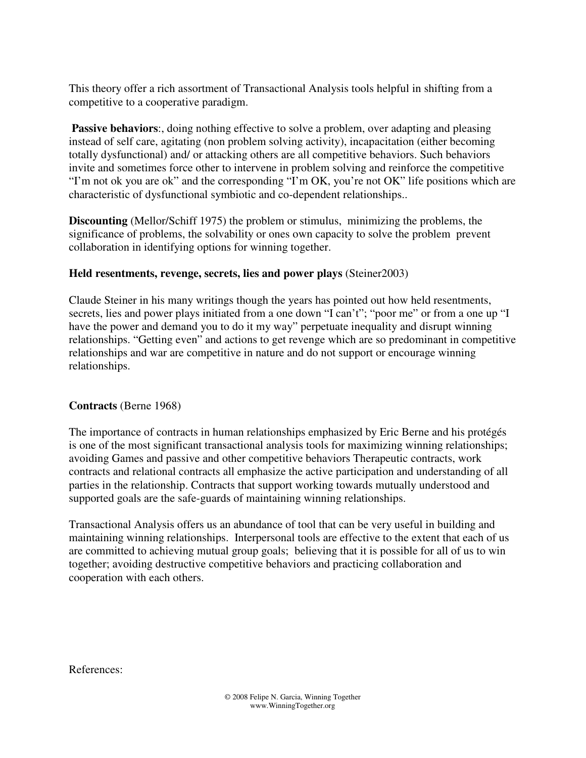This theory offer a rich assortment of Transactional Analysis tools helpful in shifting from a competitive to a cooperative paradigm.

**Passive behaviors:**, doing nothing effective to solve a problem, over adapting and pleasing instead of self care, agitating (non problem solving activity), incapacitation (either becoming totally dysfunctional) and/ or attacking others are all competitive behaviors. Such behaviors invite and sometimes force other to intervene in problem solving and reinforce the competitive "I'm not ok you are ok" and the corresponding "I'm OK, you're not OK" life positions which are characteristic of dysfunctional symbiotic and co-dependent relationships..

**Discounting** (Mellor/Schiff 1975) the problem or stimulus, minimizing the problems, the significance of problems, the solvability or ones own capacity to solve the problem prevent collaboration in identifying options for winning together.

# **Held resentments, revenge, secrets, lies and power plays** (Steiner2003)

Claude Steiner in his many writings though the years has pointed out how held resentments, secrets, lies and power plays initiated from a one down "I can't"; "poor me" or from a one up "I have the power and demand you to do it my way" perpetuate inequality and disrupt winning relationships. "Getting even" and actions to get revenge which are so predominant in competitive relationships and war are competitive in nature and do not support or encourage winning relationships.

# **Contracts** (Berne 1968)

The importance of contracts in human relationships emphasized by Eric Berne and his protégés is one of the most significant transactional analysis tools for maximizing winning relationships; avoiding Games and passive and other competitive behaviors Therapeutic contracts, work contracts and relational contracts all emphasize the active participation and understanding of all parties in the relationship. Contracts that support working towards mutually understood and supported goals are the safe-guards of maintaining winning relationships.

Transactional Analysis offers us an abundance of tool that can be very useful in building and maintaining winning relationships. Interpersonal tools are effective to the extent that each of us are committed to achieving mutual group goals; believing that it is possible for all of us to win together; avoiding destructive competitive behaviors and practicing collaboration and cooperation with each others.

References: